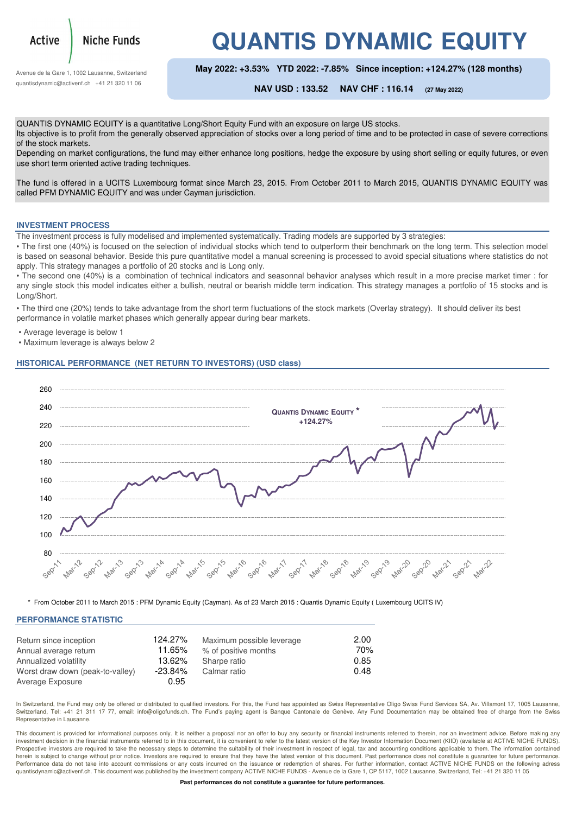

Niche Funds

**QUANTIS DYNAMIC EQUITY**

Avenue de la Gare 1, 1002 Lausanne, Switzerland quantisdynamic@activenf.ch +41 21 320 11 06

**May 2022: +3.53% YTD 2022: -7.85% Since inception: +124.27% (128 months)**

**NAV USD : 133.52 NAV CHF : 116.14 (27 May 2022)**

QUANTIS DYNAMIC EQUITY is a quantitative Long/Short Equity Fund with an exposure on large US stocks. Its objective is to profit from the generally observed appreciation of stocks over a long period of time and to be protected in case of severe corrections of the stock markets.

Depending on market configurations, the fund may either enhance long positions, hedge the exposure by using short selling or equity futures, or even use short term oriented active trading techniques.

The fund is offered in a UCITS Luxembourg format since March 23, 2015. From October 2011 to March 2015, QUANTIS DYNAMIC EQUITY was called PFM DYNAMIC EQUITY and was under Cayman jurisdiction.

### **INVESTMENT PROCESS**

The investment process is fully modelised and implemented systematically. Trading models are supported by 3 strategies:

• The first one (40%) is focused on the selection of individual stocks which tend to outperform their benchmark on the long term. This selection model is based on seasonal behavior. Beside this pure quantitative model a manual screening is processed to avoid special situations where statistics do not apply. This strategy manages a portfolio of 20 stocks and is Long only.

• The second one (40%) is a combination of technical indicators and seasonnal behavior analyses which result in a more precise market timer : for any single stock this model indicates either a bullish, neutral or bearish middle term indication. This strategy manages a portfolio of 15 stocks and is Long/Short.

• The third one (20%) tends to take advantage from the short term fluctuations of the stock markets (Overlay strategy). It should deliver its best performance in volatile market phases which generally appear during bear markets.

- Average leverage is below 1
- Maximum leverage is always below 2

### **HISTORICAL PERFORMANCE (NET RETURN TO INVESTORS) (USD class)**



\* From October 2011 to March 2015 : PFM Dynamic Equity (Cayman). As of 23 March 2015 : Quantis Dynamic Equity ( Luxembourg UCITS IV)

### **PERFORMANCE STATISTIC**

| Return since inception           | 124.27%    | Maximum possible leverage | 2.00 |
|----------------------------------|------------|---------------------------|------|
| Annual average return            | 11.65%     | % of positive months      | 70%  |
| Annualized volatility            | 13.62%     | Sharpe ratio              | 0.85 |
| Worst draw down (peak-to-valley) | $-23.84\%$ | Calmar ratio              | 0.48 |
| Average Exposure                 | 0.95       |                           |      |

In Switzerland, the Fund may only be offered or distributed to qualified investors. For this, the Fund has appointed as Swiss Representative Oligo Swiss Fund Services SA, Av. Villamont 17, 1005 Lausanne Switzerland, Tel: +41 21 311 17 77, email: info@oligofunds.ch. The Fund's paying agent is Banque Cantonale de Genève. Any Fund Documentation may be obtained free of charge from the Swiss Representative in Lausanne.

This document is provided for informational purposes only. It is neither a proposal nor an offer to buy any security or financial instruments referred to therein, nor an investment advice. Before making any investment decision in the financial instruments referred to in this document, it is convenient to refer to the latest version of the Key Investor Information Document (KIID) (available at ACTIVE NICHE FUNDS). Prospective investors are required to take the necessary steps to determine the suitability of their investment in respect of legal, tax and accounting conditions applicable to them. The information contained herein is subject to change without prior notice. Investors are required to ensure that they have the latest version of this document. Past performance does not constitute a guarantee for future performance. Performance data do not take into account commissions or any costs incurred on the issuance or redemption of shares. For further information, contact ACTIVE NICHE FUNDS on the following adress quantisdynamic@activenf.ch. This document was published by the investment company ACTIVE NICHE FUNDS - Avenue de la Gare 1, CP 5117, 1002 Lausanne, Switzerland, Tel: +41 21 320 11 05

**Past performances do not constitute a guarantee for future performances.**